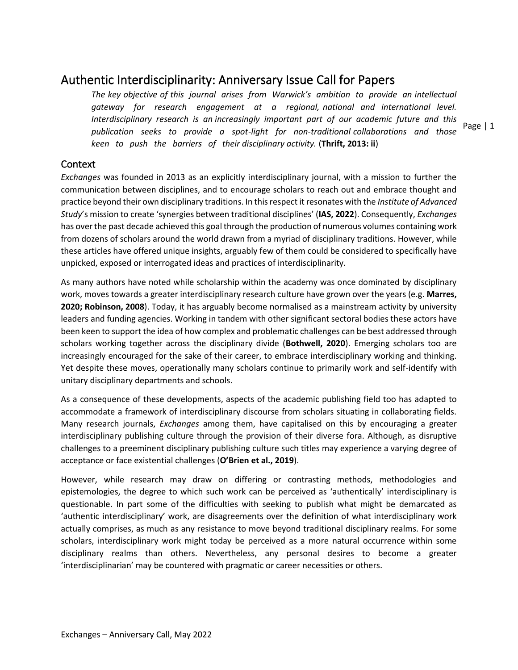# Authentic Interdisciplinarity: Anniversary Issue Call for Papers

*The key objective of this journal arises from Warwick's ambition to provide an intellectual gateway for research engagement at a regional, national and international level. Interdisciplinary research is an increasingly important part of our academic future and this publication seeks to provide a spot-light for non-traditional collaborations and those keen to push the barriers of their disciplinary activity.* (**Thrift, 2013: ii**)

**Context** 

*Exchanges* was founded in 2013 as an explicitly interdisciplinary journal, with a mission to further the communication between disciplines, and to encourage scholars to reach out and embrace thought and practice beyond their own disciplinary traditions. In this respect it resonates with the *Institute of Advanced Study*'s mission to create 'synergies between traditional disciplines' (**IAS, 2022**). Consequently, *Exchanges* has over the past decade achieved this goal through the production of numerous volumes containing work from dozens of scholars around the world drawn from a myriad of disciplinary traditions. However, while these articles have offered unique insights, arguably few of them could be considered to specifically have unpicked, exposed or interrogated ideas and practices of interdisciplinarity.

As many authors have noted while scholarship within the academy was once dominated by disciplinary work, moves towards a greater interdisciplinary research culture have grown over the years (e.g. **Marres, 2020; Robinson, 2008**). Today, it has arguably become normalised as a mainstream activity by university leaders and funding agencies. Working in tandem with other significant sectoral bodies these actors have been keen to support the idea of how complex and problematic challenges can be best addressed through scholars working together across the disciplinary divide (**Bothwell, 2020**). Emerging scholars too are increasingly encouraged for the sake of their career, to embrace interdisciplinary working and thinking. Yet despite these moves, operationally many scholars continue to primarily work and self-identify with unitary disciplinary departments and schools.

As a consequence of these developments, aspects of the academic publishing field too has adapted to accommodate a framework of interdisciplinary discourse from scholars situating in collaborating fields. Many research journals, *Exchanges* among them, have capitalised on this by encouraging a greater interdisciplinary publishing culture through the provision of their diverse fora. Although, as disruptive challenges to a preeminent disciplinary publishing culture such titles may experience a varying degree of acceptance or face existential challenges (**O'Brien et al., 2019**).

However, while research may draw on differing or contrasting methods, methodologies and epistemologies, the degree to which such work can be perceived as 'authentically' interdisciplinary is questionable. In part some of the difficulties with seeking to publish what might be demarcated as 'authentic interdisciplinary' work, are disagreements over the definition of what interdisciplinary work actually comprises, as much as any resistance to move beyond traditional disciplinary realms. For some scholars, interdisciplinary work might today be perceived as a more natural occurrence within some disciplinary realms than others. Nevertheless, any personal desires to become a greater 'interdisciplinarian' may be countered with pragmatic or career necessities or others.

Page | 1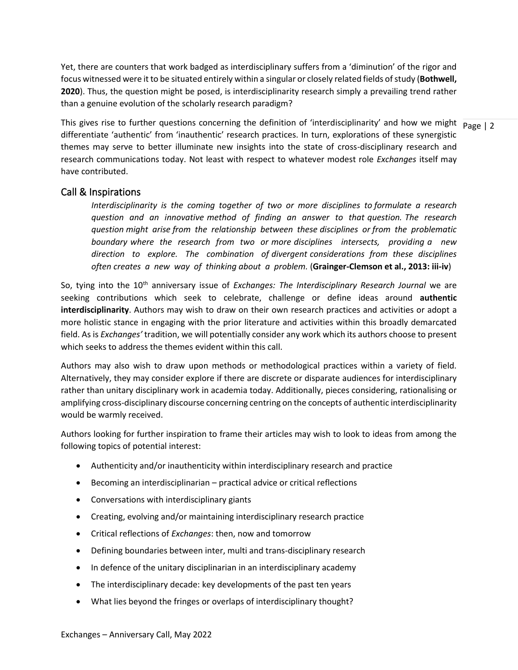Yet, there are counters that work badged as interdisciplinary suffers from a 'diminution' of the rigor and focus witnessed were it to be situated entirely within a singular or closely related fields of study (**Bothwell, 2020**). Thus, the question might be posed, is interdisciplinarity research simply a prevailing trend rather than a genuine evolution of the scholarly research paradigm?

This gives rise to further questions concerning the definition of 'interdisciplinarity' and how we might  $\frac{}{\text{Page} \mid 2}$ differentiate 'authentic' from 'inauthentic' research practices. In turn, explorations of these synergistic themes may serve to better illuminate new insights into the state of cross-disciplinary research and research communications today. Not least with respect to whatever modest role *Exchanges* itself may have contributed.

#### Call & Inspirations

*Interdisciplinarity is the coming together of two or more disciplines to formulate a research question and an innovative method of finding an answer to that question. The research question might arise from the relationship between these disciplines or from the problematic boundary where the research from two or more disciplines intersects, providing a new direction to explore. The combination of divergent considerations from these disciplines often creates a new way of thinking about a problem.* (**Grainger-Clemson et al., 2013: iii-iv**)

So, tying into the 10<sup>th</sup> anniversary issue of *Exchanges: The Interdisciplinary Research Journal* we are seeking contributions which seek to celebrate, challenge or define ideas around **authentic interdisciplinarity**. Authors may wish to draw on their own research practices and activities or adopt a more holistic stance in engaging with the prior literature and activities within this broadly demarcated field. As is *Exchanges'* tradition, we will potentially consider any work which its authors choose to present which seeks to address the themes evident within this call.

Authors may also wish to draw upon methods or methodological practices within a variety of field. Alternatively, they may consider explore if there are discrete or disparate audiences for interdisciplinary rather than unitary disciplinary work in academia today. Additionally, pieces considering, rationalising or amplifying cross-disciplinary discourse concerning centring on the concepts of authentic interdisciplinarity would be warmly received.

Authors looking for further inspiration to frame their articles may wish to look to ideas from among the following topics of potential interest:

- Authenticity and/or inauthenticity within interdisciplinary research and practice
- Becoming an interdisciplinarian practical advice or critical reflections
- Conversations with interdisciplinary giants
- Creating, evolving and/or maintaining interdisciplinary research practice
- Critical reflections of *Exchanges*: then, now and tomorrow
- Defining boundaries between inter, multi and trans-disciplinary research
- In defence of the unitary disciplinarian in an interdisciplinary academy
- The interdisciplinary decade: key developments of the past ten years
- What lies beyond the fringes or overlaps of interdisciplinary thought?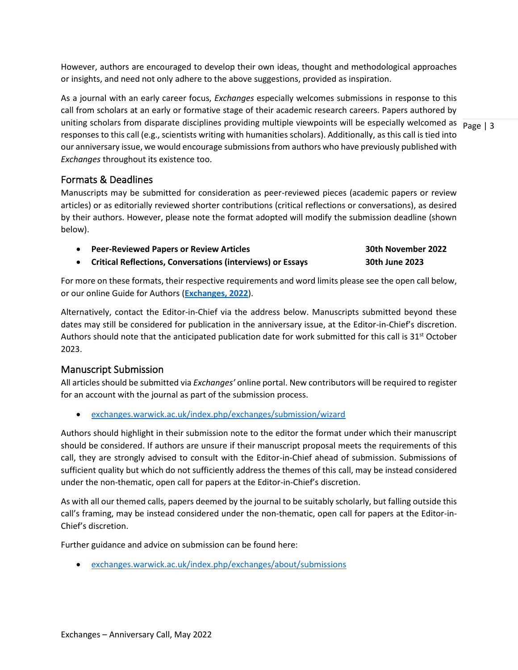However, authors are encouraged to develop their own ideas, thought and methodological approaches or insights, and need not only adhere to the above suggestions, provided as inspiration.

uniting scholars from disparate disciplines providing multiple viewpoints will be especially welcomed as  $\frac{}{\text{Page }|3}$ As a journal with an early career focus, *Exchanges* especially welcomes submissions in response to this call from scholars at an early or formative stage of their academic research careers. Papers authored by responses to this call (e.g., scientists writing with humanities scholars). Additionally, as this call is tied into our anniversary issue, we would encourage submissions from authors who have previously published with *Exchanges* throughout its existence too.

### Formats & Deadlines

Manuscripts may be submitted for consideration as peer-reviewed pieces (academic papers or review articles) or as editorially reviewed shorter contributions (critical reflections or conversations), as desired by their authors. However, please note the format adopted will modify the submission deadline (shown below).

- **Peer-Reviewed Papers or Review Articles 30th November 2022**
- **Critical Reflections, Conversations (interviews) or Essays 30th June 2023**

For more on these formats, their respective requirements and word limits please see the open call below, or our online Guide for Authors (**[Exchanges, 2022](https://exchanges.warwick.ac.uk/guidance)**).

Alternatively, contact the Editor-in-Chief via the address below. Manuscripts submitted beyond these dates may still be considered for publication in the anniversary issue, at the Editor-in-Chief's discretion. Authors should note that the anticipated publication date for work submitted for this call is  $31^{st}$  October 2023.

## Manuscript Submission

All articles should be submitted via *Exchanges'* online portal. New contributors will be required to register for an account with the journal as part of the submission process.

• [exchanges.warwick.ac.uk/index.php/exchanges/submission/wizard](https://exchanges.warwick.ac.uk/index.php/exchanges/submission/wizard)

Authors should highlight in their submission note to the editor the format under which their manuscript should be considered. If authors are unsure if their manuscript proposal meets the requirements of this call, they are strongly advised to consult with the Editor-in-Chief ahead of submission. Submissions of sufficient quality but which do not sufficiently address the themes of this call, may be instead considered under the non-thematic, open call for papers at the Editor-in-Chief's discretion.

As with all our themed calls, papers deemed by the journal to be suitably scholarly, but falling outside this call's framing, may be instead considered under the non-thematic, open call for papers at the Editor-in-Chief's discretion.

Further guidance and advice on submission can be found here:

• [exchanges.warwick.ac.uk/index.php/exchanges/about/submissions](https://exchanges.warwick.ac.uk/index.php/exchanges/about/submissions)